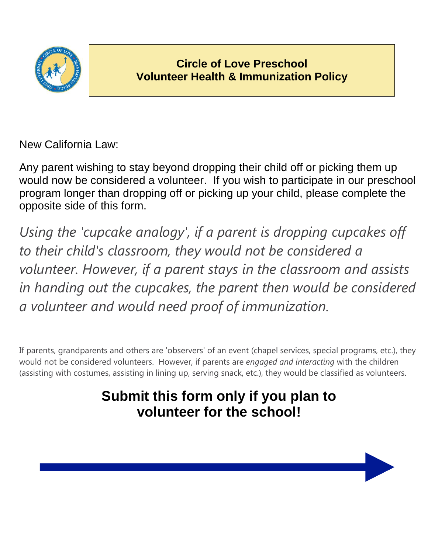

New California Law:

Any parent wishing to stay beyond dropping their child off or picking them up would now be considered a volunteer. If you wish to participate in our preschool program longer than dropping off or picking up your child, please complete the opposite side of this form.

*Using the 'cupcake analogy', if a parent is dropping cupcakes off to their child's classroom, they would not be considered a volunteer. However, if a parent stays in the classroom and assists in handing out the cupcakes, the parent then would be considered a volunteer and would need proof of immunization.*

If parents, grandparents and others are 'observers' of an event (chapel services, special programs, etc.), they would not be considered volunteers. However, if parents are *engaged and interacting* with the children (assisting with costumes, assisting in lining up, serving snack, etc.), they would be classified as volunteers.

## **Submit this form only if you plan to volunteer for the school!**